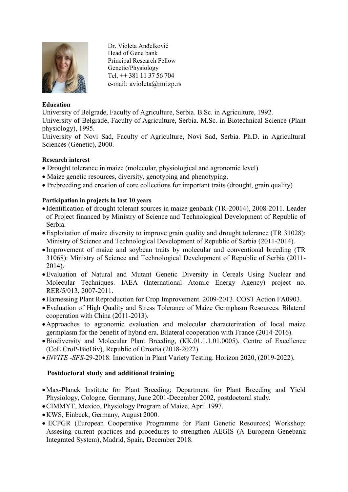

Dr. Violeta Anđelković Head of Gene bank Principal Research Fellow Genetic/Physiology Tel.  $+1381113756704$ e-mail: avioleta@mrizp.rs

### **Education**

University of Belgrade, Faculty of Agriculture, Serbia. B.Sc. in Agriculture, 1992.

University of Belgrade, Faculty of Agriculture, Serbia. M.Sc. in Biotechnical Science (Plant physiology), 1995.

University of Novi Sad, Faculty of Agriculture, Novi Sad, Serbia. Ph.D. in Agricultural Sciences (Genetic), 2000.

### **Research interest**

- Drought tolerance in maize (molecular, physiological and agronomic level)
- Maize genetic resources, diversity, genotyping and phenotyping.
- Prebreeding and creation of core collections for important traits (drought, grain quality)

## **Participation in projects in last 10 years**

- Identification of drought tolerant sources in maize genbank (TR-20014), 2008-2011. Leader of Project financed by Ministry of Science and Technological Development of Republic of Serbia.
- Exploitation of maize diversity to improve grain quality and drought tolerance (TR 31028): Ministry of Science and Technological Development of Republic of Serbia (2011-2014).
- Improvement of maize and soybean traits by molecular and conventional breeding (TR 31068): Ministry of Science and Technological Development of Republic of Serbia (2011- 2014).
- Evaluation of Natural and Mutant Genetic Diversity in Cereals Using Nuclear and Molecular Techniques. IAEA (International Atomic Energy Agency) project no. RER/5/013, 2007-2011.
- Harnessing Plant Reproduction for Crop Improvement. 2009-2013. COST Action FA0903.
- Evaluation of High Quality and Stress Tolerance of Maize Germplasm Resources. Bilateral cooperation with China (2011-2013).
- Approaches to agronomic evaluation and molecular characterization of local maize germplasm for the benefit of hybrid era. Bilateral cooperation with France (2014-2016).
- Biodiversity and Molecular Plant Breeding, (КК.01.1.1.01.0005), Centre of Excellence (CoE CroP-BioDiv), Republic of Croatia (2018-2022).
- *INVITE -SFS*-29-2018: Innovation in Plant Variety Testing. Horizon 2020, (2019-2022).

### **Postdoctoral study and additional training**

- Max-Planck Institute for Plant Breeding; Department for Plant Breeding and Yield Physiology, Cologne, Germany, June 2001-December 2002, postdoctoral study.
- CIMMYT, Mexico, Physiology Program of Maize, April 1997.
- KWS, Einbeck, Germany, August 2000.
- ECPGR (European Cooperative Programme for Plant Genetic Resources) Workshop: Assesing current practices and procedures to strengthen AEGIS (A European Genebank Integrated System), Madrid, Spain, December 2018.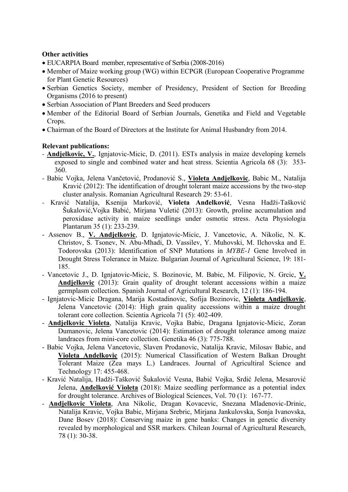# **Other activities**

- EUCARPIA Board member, representative of Serbia (2008-2016)
- Member of Maize working group (WG) within ECPGR (European Cooperative Programme for Plant Genetic Resources)
- Serbian Genetics Society, member of Presidency, President of Section for Breeding Organisms (2016 to present)
- Serbian Association of Plant Breeders and Seed producers
- Member of the Editorial Board of Serbian Journals, Genetika and Field and Vegetable Crops.
- Chairman of the Board of Directors at the Institute for Animal Husbandry from 2014.

## **Relevant publications:**

- *-* **Andjelkovic, V.**, Ignjatovic-Micic, D. (2011). ESTs analysis in maize developing kernels exposed to single and combined water and heat stress. Scientia Agricola 68 (3): 353- 360.
- *-* Babic Vojka, Jelena Vančetović, Prodanović S., **Violeta Andjelkovic**, Babic M., Natalija Kravić (2012): The identification of drought tolerant maize accessions by the two-step cluster analysis. Romanian Agricultural Research 29: 53-61.
- *-* [Kravić](http://www.springerlink.com/content/?Author=Natalija+Kravi%c4%87) Natalija, [Ksenija Marković](http://www.springerlink.com/content/?Author=Ksenija+Markovi%c4%87), **[Violeta Anđelković](http://www.springerlink.com/content/?Author=Violeta+An%c4%91elkovi%c4%87)**, [Vesna Hadži](http://www.springerlink.com/content/?Author=Vesna+Had%c5%bei-Ta%c5%a1kovi%c4%87+%c5%a0ukalovi%c4%87)-Tašković [Šukalović](http://www.springerlink.com/content/?Author=Vesna+Had%c5%bei-Ta%c5%a1kovi%c4%87+%c5%a0ukalovi%c4%87),[Vojka Babić](http://www.springerlink.com/content/?Author=Vojka+Babi%c4%87), Mirjana Vuletić (2013): [Growth, proline accumulation and](http://www.springerlink.com/content/x313200709572276/)  [peroxidase activity in maize seedlings under osmotic stress.](http://www.springerlink.com/content/x313200709572276/) Acta Physiologia Plantarum 35 [\(1\)](http://rd.springer.com/journal/11738/35/1/page/1): 233-239.
- Assenov B., **V. Andjelkovic**, D. Ignjatovic-Micic, J. Vancetovic, A. Nikolic, N. K. Christov, S. Tsonev, N. Abu-Mhadi, D. Vassilev, Y. Muhovski, M. Ilchovska and [E.](mailto:e.g.todorovska@gmail.com)  [Todorovska](mailto:e.g.todorovska@gmail.com) (2013): Identification of SNP Mutations in *MYBE-1* Gene Involved in Drought Stress Tolerance in Maize. Bulgarian Journal of Agricultural Science, 19: 181- 185.
- Vancetovic J., D. Ignjatovic-Micic, S. Bozinovic, M. Babic, M. Filipovic, N. Grcic, **V. Andjelkovic** (2013): Grain quality of drought tolerant accessions within a maize germplasm collection. Spanish Journal of Agricultural Research, 12 (1): 186-194.
- Ignjatovic-Micic Dragana, Marija Kostadinovic, Sofija Bozinovic, **Violeta Andjelkovic**, Jelena Vancetovic (2014): High grain quality accessions within a maize drought tolerant core collection. Scientia Agricola 71 (5): 402-409.
- **Andjelkovic Violeta**, Natalija Kravic, Vojka Babic, Dragana Ignjatovic-Micic, Zoran Dumanovic, Jelena Vancetovic (2014): Estimation of drought tolerance among maize landraces from mini-core collection. Genetika 46 (3): 775-788.
- Babic Vojka, Jelena Vancetovic, Slaven Prodanovic, Natalija Kravic, Milosav Babic, and **Violeta Andelkovic** (2015): Numerical Classification of Western Balkan Drought Tolerant Maize (Zea mays L.) Landraces. Journal of Agricultiral Science and Technology 17: 455-468.
- Kravić Natalija, Hadži-Tašković Šukalović Vesna, Babić Vojka, Srdić Jelena, Mesarović Jelena, **Anđelković Violeta** (2018): Maize seedling performance as a potential index for drought tolerance. Archives of Biological Sciences, Vol. 70 (1): 167-77.
- **Andjelkovic Violeta**, Ana Nikolic, Dragan Kovacevic, Snezana Mladenovic-Drinic, Natalija Kravic, Vojka Babic, Mirjana Srebric, Mirjana Jankulovska, Sonja Ivanovska, Dane Bosev (2018): Conserving maize in gene banks: Changes in genetic diversity revealed by morphological and SSR markers. Chilean Journal of Agricultural Research, 78 (1): 30-38.